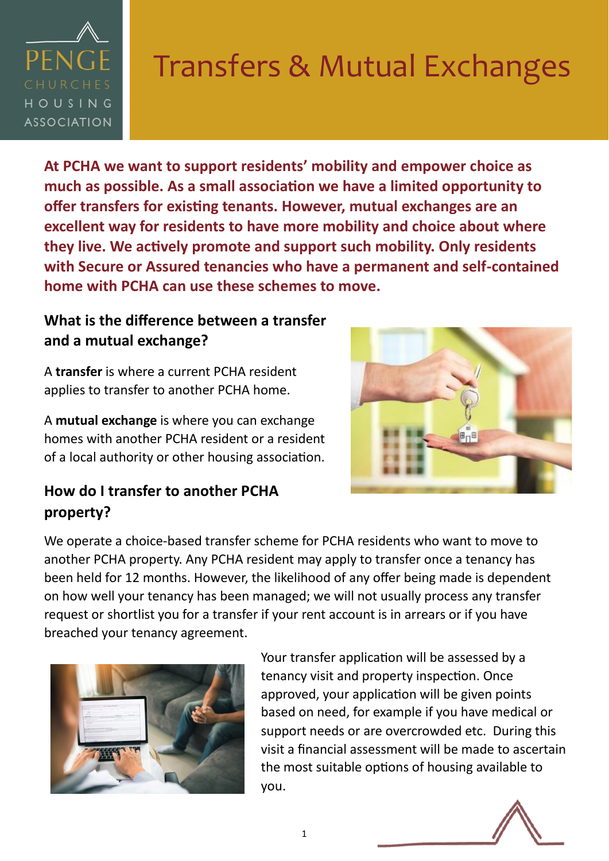

# Transfers & Mutual Exchanges

**At PCHA we want to support residents' mobility and empower choice as much as possible. As a small association we have a limited opportunity to offer transfers for existing tenants. However, mutual exchanges are an excellent way for residents to have more mobility and choice about where they live. We actively promote and support such mobility. Only residents with Secure or Assured tenancies who have a permanent and self-contained home with PCHA can use these schemes to move.**

### **What is the difference between a transfer and a mutual exchange?**

A **transfer** is where a current PCHA resident applies to transfer to another PCHA home.

A **mutual exchange** is where you can exchange homes with another PCHA resident or a resident of a local authority or other housing association.

### **How do I transfer to another PCHA property?**



We operate a choice-based transfer scheme for PCHA residents who want to move to another PCHA property. Any PCHA resident may apply to transfer once a tenancy has been held for 12 months. However, the likelihood of any offer being made is dependent on how well your tenancy has been managed; we will not usually process any transfer request or shortlist you for a transfer if your rent account is in arrears or if you have breached your tenancy agreement.



Your transfer application will be assessed by a tenancy visit and property inspection. Once approved, your application will be given points based on need, for example if you have medical or support needs or are overcrowded etc. During this visit a financial assessment will be made to ascertain the most suitable options of housing available to you.